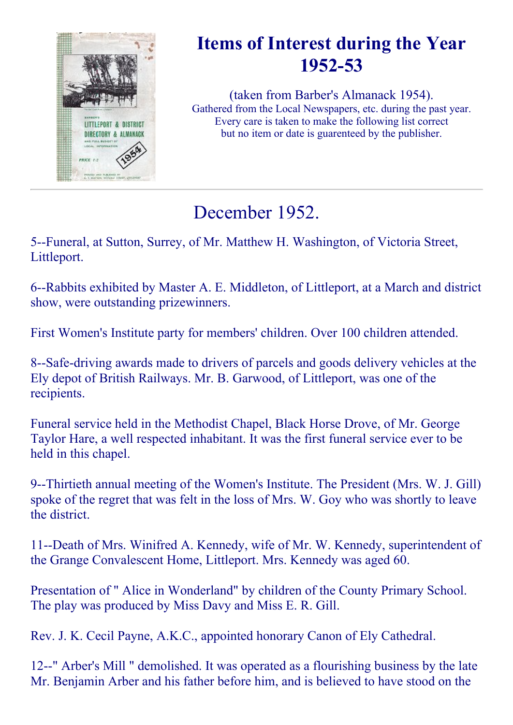

# Items of Interest during the Year 1952-53

(taken from Barber's Almanack 1954). Gathered from the Local Newspapers, etc. during the past year. Every care is taken to make the following list correct but no item or date is guarenteed by the publisher.

# December 1952.

5--Funeral, at Sutton, Surrey, of Mr. Matthew H. Washington, of Victoria Street, Littleport.

6--Rabbits exhibited by Master A. E. Middleton, of Littleport, at a March and district show, were outstanding prizewinners.

First Women's Institute party for members' children. Over 100 children attended.

8--Safe-driving awards made to drivers of parcels and goods delivery vehicles at the Ely depot of British Railways. Mr. B. Garwood, of Littleport, was one of the recipients.

Funeral service held in the Methodist Chapel, Black Horse Drove, of Mr. George Taylor Hare, a well respected inhabitant. It was the first funeral service ever to be held in this chapel.

9--Thirtieth annual meeting of the Women's Institute. The President (Mrs. W. J. Gill) spoke of the regret that was felt in the loss of Mrs. W. Goy who was shortly to leave the district.

11--Death of Mrs. Winifred A. Kennedy, wife of Mr. W. Kennedy, superintendent of the Grange Convalescent Home, Littleport. Mrs. Kennedy was aged 60.

Presentation of " Alice in Wonderland" by children of the County Primary School. The play was produced by Miss Davy and Miss E. R. Gill.

Rev. J. K. Cecil Payne, A.K.C., appointed honorary Canon of Ely Cathedral.

12--" Arber's Mill " demolished. It was operated as a flourishing business by the late Mr. Benjamin Arber and his father before him, and is believed to have stood on the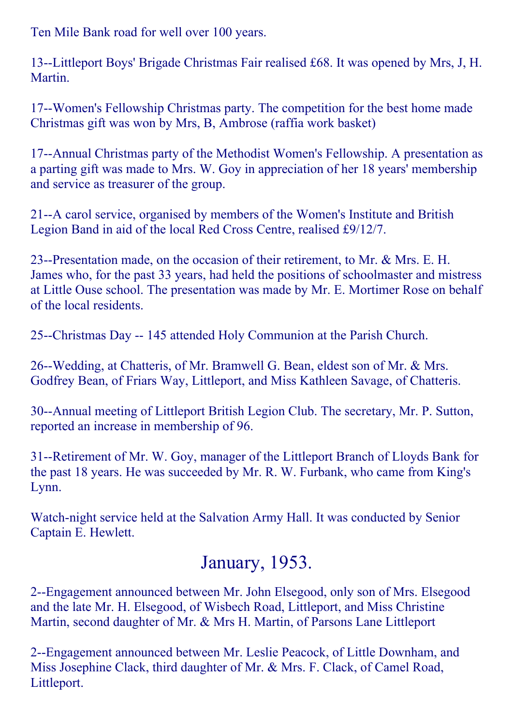Ten Mile Bank road for well over 100 years.

13--Littleport Boys' Brigade Christmas Fair realised £68. It was opened by Mrs, J, H. Martin.

17--Women's Fellowship Christmas party. The competition for the best home made Christmas gift was won by Mrs, B, Ambrose (raffia work basket)

17--Annual Christmas party of the Methodist Women's Fellowship. A presentation as a parting gift was made to Mrs. W. Goy in appreciation of her 18 years' membership and service as treasurer of the group.

21--A carol service, organised by members of the Women's Institute and British Legion Band in aid of the local Red Cross Centre, realised £9/12/7.

23--Presentation made, on the occasion of their retirement, to Mr.  $& Mrs. E. H.$ James who, for the past 33 years, had held the positions of schoolmaster and mistress at Little Ouse school. The presentation was made by Mr. E. Mortimer Rose on behalf of the local residents.

25--Christmas Day -- 145 attended Holy Communion at the Parish Church.

26--Wedding, at Chatteris, of Mr. Bramwell G. Bean, eldest son of Mr. & Mrs. Godfrey Bean, of Friars Way, Littleport, and Miss Kathleen Savage, of Chatteris.

30--Annual meeting of Littleport British Legion Club. The secretary, Mr. P. Sutton, reported an increase in membership of 96.

31--Retirement of Mr. W. Goy, manager of the Littleport Branch of Lloyds Bank for the past 18 years. He was succeeded by Mr. R. W. Furbank, who came from King's Lynn.

Watch-night service held at the Salvation Army Hall. It was conducted by Senior Captain E. Hewlett.

## January, 1953.

2--Engagement announced between Mr. John Elsegood, only son of Mrs. Elsegood and the late Mr. H. Elsegood, of Wisbech Road, Littleport, and Miss Christine Martin, second daughter of Mr. & Mrs H. Martin, of Parsons Lane Littleport

2--Engagement announced between Mr. Leslie Peacock, of Little Downham, and Miss Josephine Clack, third daughter of Mr. & Mrs. F. Clack, of Camel Road, Littleport.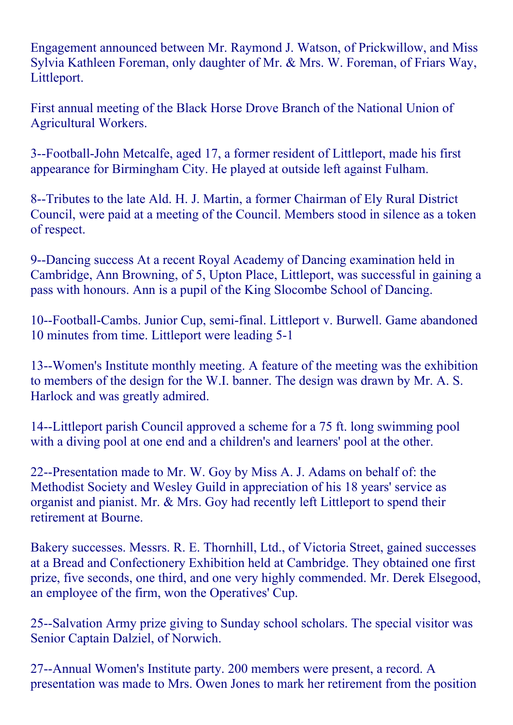Engagement announced between Mr. Raymond J. Watson, of Prickwillow, and Miss Sylvia Kathleen Foreman, only daughter of Mr. & Mrs. W. Foreman, of Friars Way, Littleport.

First annual meeting of the Black Horse Drove Branch of the National Union of Agricultural Workers.

3--Football-John Metcalfe, aged 17, a former resident of Littleport, made his first appearance for Birmingham City. He played at outside left against Fulham.

8--Tributes to the late Ald. H. J. Martin, a former Chairman of Ely Rural District Council, were paid at a meeting of the Council. Members stood in silence as a token of respect.

9--Dancing success At a recent Royal Academy of Dancing examination held in Cambridge, Ann Browning, of 5, Upton Place, Littleport, was successful in gaining a pass with honours. Ann is a pupil of the King Slocombe School of Dancing.

10--Football-Cambs. Junior Cup, semi-final. Littleport v. Burwell. Game abandoned 10 minutes from time. Littleport were leading 5-1

13--Women's Institute monthly meeting. A feature of the meeting was the exhibition to members of the design for the W.I. banner. The design was drawn by Mr. A. S. Harlock and was greatly admired.

14--Littleport parish Council approved a scheme for a 75 ft. long swimming pool with a diving pool at one end and a children's and learners' pool at the other.

22--Presentation made to Mr. W. Goy by Miss A. J. Adams on behalf of: the Methodist Society and Wesley Guild in appreciation of his 18 years' service as organist and pianist. Mr. & Mrs. Goy had recently left Littleport to spend their retirement at Bourne.

Bakery successes. Messrs. R. E. Thornhill, Ltd., of Victoria Street, gained successes at a Bread and Confectionery Exhibition held at Cambridge. They obtained one first prize, five seconds, one third, and one very highly commended. Mr. Derek Elsegood, an employee of the firm, won the Operatives' Cup.

25--Salvation Army prize giving to Sunday school scholars. The special visitor was Senior Captain Dalziel, of Norwich.

27--Annual Women's Institute party. 200 members were present, a record. A presentation was made to Mrs. Owen Jones to mark her retirement from the position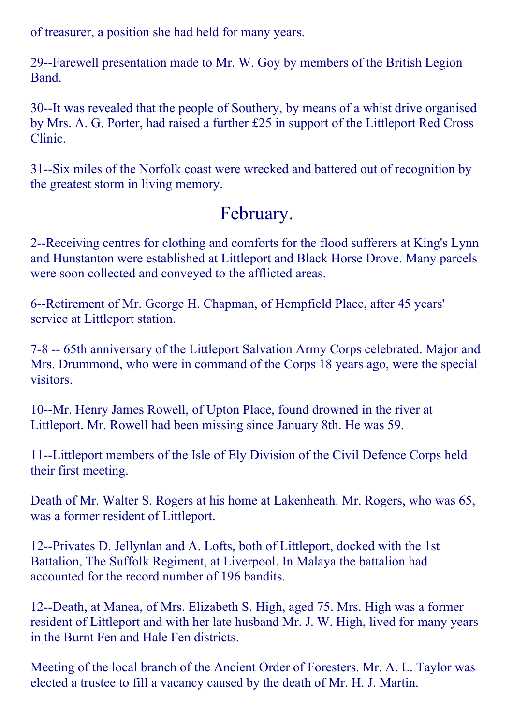of treasurer, a position she had held for many years.

29--Farewell presentation made to Mr. W. Goy by members of the British Legion Band.

30--It was revealed that the people of Southery, by means of a whist drive organised by Mrs. A. G. Porter, had raised a further £25 in support of the Littleport Red Cross Clinic.

31-Six miles of the Norfolk coast were wrecked and battered out of recognition by the greatest storm in living memory.

# February.

2--Receiving centres for clothing and comforts for the flood sufferers at King's Lynn and Hunstanton were established at Littleport and Black Horse Drove. Many parcels were soon collected and conveyed to the afflicted areas.

6--Retirement of Mr. George H. Chapman, of Hempfield Place, after 45 years' service at Littleport station.

7-8 -- 65th anniversary of the Littleport Salvation Army Corps celebrated. Major and Mrs. Drummond, who were in command of the Corps 18 years ago, were the special visitors.

10--Mr. Henry James Rowell, of Upton Place, found drowned in the river at Littleport. Mr. Rowell had been missing since January 8th. He was 59.

11--Littleport members of the Isle of Ely Division of the Civil Defence Corps held their first meeting.

Death of Mr. Walter S. Rogers at his home at Lakenheath. Mr. Rogers, who was 65, was a former resident of Littleport.

12--Privates D. Jellynlan and A. Lofts, both of Littleport, docked with the 1st Battalion, The Suffolk Regiment, at Liverpool. In Malaya the battalion had accounted for the record number of 196 bandits.

12--Death, at Manea, of Mrs. Elizabeth S. High, aged 75. Mrs. High was a former resident of Littleport and with her late husband Mr. J. W. High, lived for many years in the Burnt Fen and Hale Fen districts.

Meeting of the local branch of the Ancient Order of Foresters. Mr. A. L. Taylor was elected a trustee to fill a vacancy caused by the death of Mr. H. J. Martin.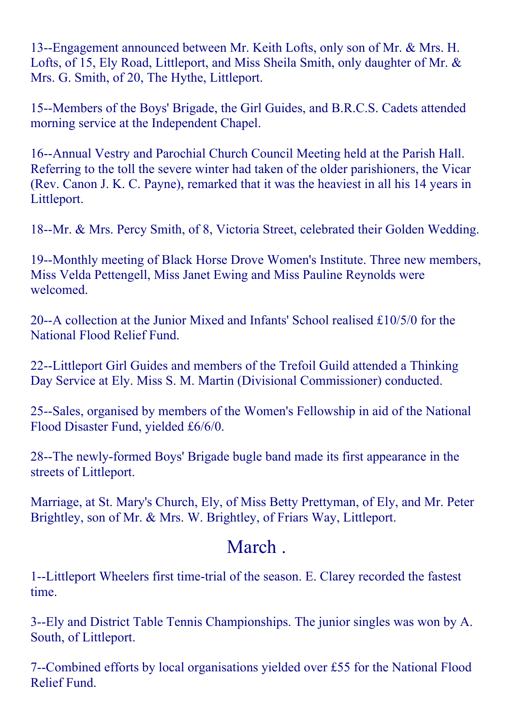13--Engagement announced between Mr. Keith Lofts, only son of Mr. & Mrs. H. Lofts, of 15, Ely Road, Littleport, and Miss Sheila Smith, only daughter of Mr. & Mrs. G. Smith, of 20, The Hythe, Littleport.

15--Members of the Boys' Brigade, the Girl Guides, and B.R.C.S. Cadets attended morning service at the Independent Chapel.

16--Annual Vestry and Parochial Church Council Meeting held at the Parish Hall. Referring to the toll the severe winter had taken of the older parishioners, the Vicar (Rev. Canon J. K. C. Payne), remarked that it was the heaviest in all his 14 years in Littleport.

18--Mr. & Mrs. Percy Smith, of 8, Victoria Street, celebrated their Golden Wedding.

19--Monthly meeting of Black Horse Drove Women's Institute. Three new members, Miss Velda Pettengell, Miss Janet Ewing and Miss Pauline Reynolds were welcomed.

20--A collection at the Junior Mixed and Infants' School realised  $£10/5/0$  for the National Flood Relief Fund.

22--Littleport Girl Guides and members of the Trefoil Guild attended a Thinking Day Service at Ely. Miss S. M. Martin (Divisional Commissioner) conducted.

25-Sales, organised by members of the Women's Fellowship in aid of the National Flood Disaster Fund, yielded £6/6/0.

28--The newly-formed Boys' Brigade bugle band made its first appearance in the streets of Littleport.

Marriage, at St. Mary's Church, Ely, of Miss Betty Prettyman, of Ely, and Mr. Peter Brightley, son of Mr. & Mrs. W. Brightley, of Friars Way, Littleport.

#### March .

1--Littleport Wheelers first time-trial of the season. E. Clarey recorded the fastest time.

3--Ely and District Table Tennis Championships. The junior singles was won by A. South, of Littleport.

7--Combined efforts by local organisations yielded over £55 for the National Flood Relief Fund.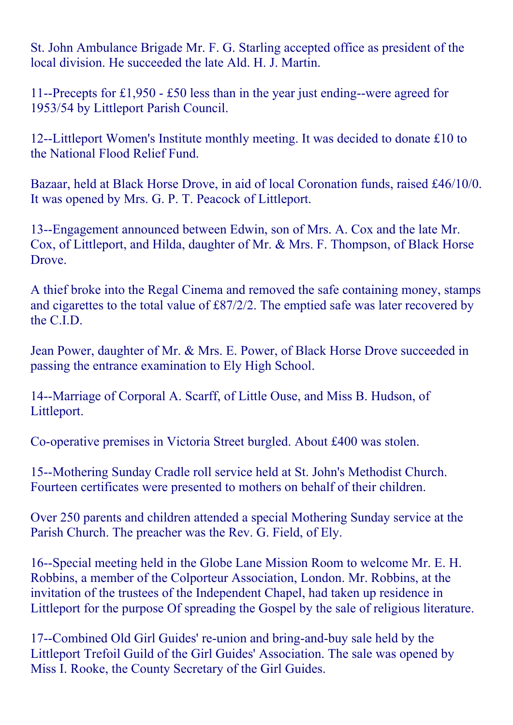St. John Ambulance Brigade Mr. F. G. Starling accepted office as president of the local division. He succeeded the late Ald. H. J. Martin.

11--Precepts for £1,950  $-$  £50 less than in the year just ending--were agreed for 1953/54 by Littleport Parish Council.

12--Littleport Women's Institute monthly meeting. It was decided to donate £10 to the National Flood Relief Fund.

Bazaar, held at Black Horse Drove, in aid of local Coronation funds, raised £46/10/0. It was opened by Mrs. G. P. T. Peacock of Littleport.

13--Engagement announced between Edwin, son of Mrs. A. Cox and the late Mr. Cox, of Littleport, and Hilda, daughter of Mr. & Mrs. F. Thompson, of Black Horse Drove.

A thief broke into the Regal Cinema and removed the safe containing money, stamps and cigarettes to the total value of £87/2/2. The emptied safe was later recovered by the C.I.D.

Jean Power, daughter of Mr. & Mrs. E. Power, of Black Horse Drove succeeded in passing the entrance examination to Ely High School.

14--Marriage of Corporal A. Scarff, of Little Ouse, and Miss B. Hudson, of Littleport.

Co-operative premises in Victoria Street burgled. About £400 was stolen.

15--Mothering Sunday Cradle roll service held at St. John's Methodist Church. Fourteen certificates were presented to mothers on behalf of their children.

Over 250 parents and children attended a special Mothering Sunday service at the Parish Church. The preacher was the Rev. G. Field, of Ely.

16--Special meeting held in the Globe Lane Mission Room to welcome Mr. E. H. Robbins, a member of the Colporteur Association, London. Mr. Robbins, at the invitation of the trustees of the Independent Chapel, had taken up residence in Littleport for the purpose Of spreading the Gospel by the sale of religious literature.

17--Combined Old Girl Guides' re-union and bring-and-buy sale held by the Littleport Trefoil Guild of the Girl Guides' Association. The sale was opened by Miss I. Rooke, the County Secretary of the Girl Guides.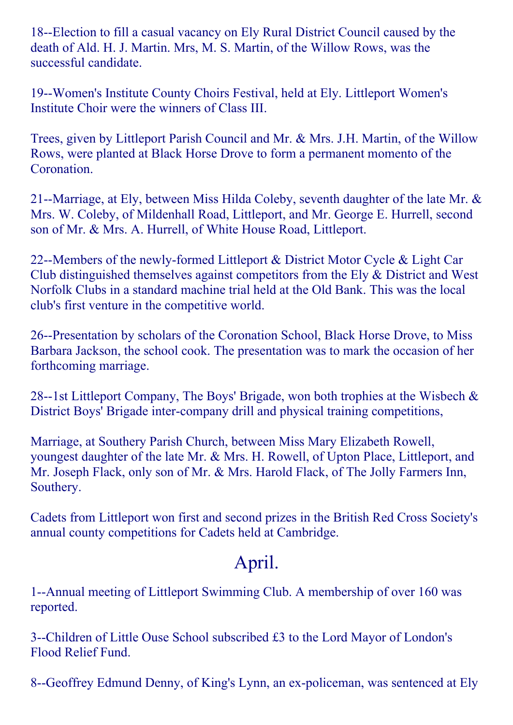18--Election to fill a casual vacancy on Ely Rural District Council caused by the death of Ald. H. J. Martin. Mrs, M. S. Martin, of the Willow Rows, was the successful candidate.

19--Women's Institute County Choirs Festival, held at Ely. Littleport Women's Institute Choir were the winners of Class III.

Trees, given by Littleport Parish Council and Mr. & Mrs. J.H. Martin, of the Willow Rows, were planted at Black Horse Drove to form a permanent momento of the **Coronation** 

21--Marriage, at Ely, between Miss Hilda Coleby, seventh daughter of the late Mr.  $\&$ Mrs. W. Coleby, of Mildenhall Road, Littleport, and Mr. George E. Hurrell, second son of Mr. & Mrs. A. Hurrell, of White House Road, Littleport.

22--Members of the newly-formed Littleport  $\&$  District Motor Cycle  $\&$  Light Car Club distinguished themselves against competitors from the Ely & District and West Norfolk Clubs in a standard machine trial held at the Old Bank. This was the local club's first venture in the competitive world.

26--Presentation by scholars of the Coronation School, Black Horse Drove, to Miss Barbara Jackson, the school cook. The presentation was to mark the occasion of her forthcoming marriage.

28--1st Littleport Company, The Boys' Brigade, won both trophies at the Wisbech  $\&$ District Boys' Brigade inter-company drill and physical training competitions,

Marriage, at Southery Parish Church, between Miss Mary Elizabeth Rowell, youngest daughter of the late Mr. & Mrs. H. Rowell, of Upton Place, Littleport, and Mr. Joseph Flack, only son of Mr. & Mrs. Harold Flack, of The Jolly Farmers Inn, Southery.

Cadets from Littleport won first and second prizes in the British Red Cross Society's annual county competitions for Cadets held at Cambridge.

## April.

1--Annual meeting of Littleport Swimming Club. A membership of over 160 was reported.

3--Children of Little Ouse School subscribed £3 to the Lord Mayor of London's Flood Relief Fund.

8--Geoffrey Edmund Denny, of King's Lynn, an ex-policeman, was sentenced at Ely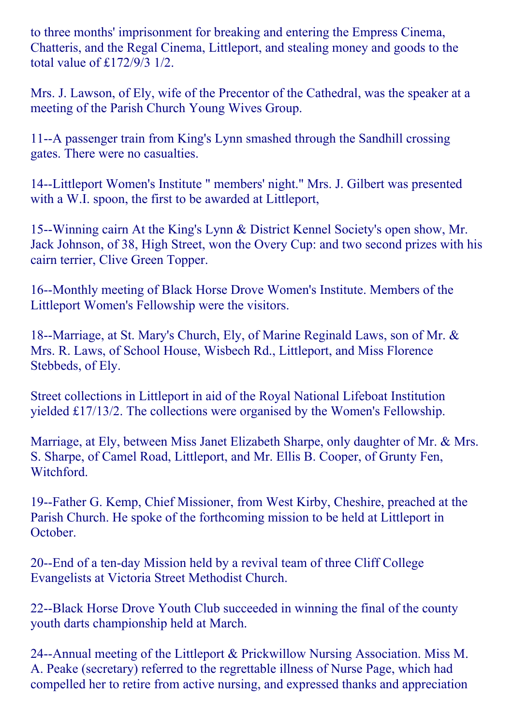to three months' imprisonment for breaking and entering the Empress Cinema, Chatteris, and the Regal Cinema, Littleport, and stealing money and goods to the total value of £172/9/3 1/2.

Mrs. J. Lawson, of Ely, wife of the Precentor of the Cathedral, was the speaker at a meeting of the Parish Church Young Wives Group.

11--A passenger train from King's Lynn smashed through the Sandhill crossing gates. There were no casualties.

14--Littleport Women's Institute " members' night." Mrs. J. Gilbert was presented with a W.I. spoon, the first to be awarded at Littleport,

15--Winning cairn At the King's Lynn & District Kennel Society's open show, Mr. Jack Johnson, of 38, High Street, won the Overy Cup: and two second prizes with his cairn terrier, Clive Green Topper.

16--Monthly meeting of Black Horse Drove Women's Institute. Members of the Littleport Women's Fellowship were the visitors.

18--Marriage, at St. Mary's Church, Ely, of Marine Reginald Laws, son of Mr. & Mrs. R. Laws, of School House, Wisbech Rd., Littleport, and Miss Florence Stebbeds, of Ely.

Street collections in Littleport in aid of the Royal National Lifeboat Institution yielded £17/13/2. The collections were organised by the Women's Fellowship.

Marriage, at Ely, between Miss Janet Elizabeth Sharpe, only daughter of Mr. & Mrs. S. Sharpe, of Camel Road, Littleport, and Mr. Ellis B. Cooper, of Grunty Fen, Witchford.

19--Father G. Kemp, Chief Missioner, from West Kirby, Cheshire, preached at the Parish Church. He spoke of the forthcoming mission to be held at Littleport in October.

20--End of a ten-day Mission held by a revival team of three Cliff College Evangelists at Victoria Street Methodist Church.

22--Black Horse Drove Youth Club succeeded in winning the final of the county youth darts championship held at March.

24--Annual meeting of the Littleport  $&$  Prickwillow Nursing Association. Miss M. A. Peake (secretary) referred to the regrettable illness of Nurse Page, which had compelled her to retire from active nursing, and expressed thanks and appreciation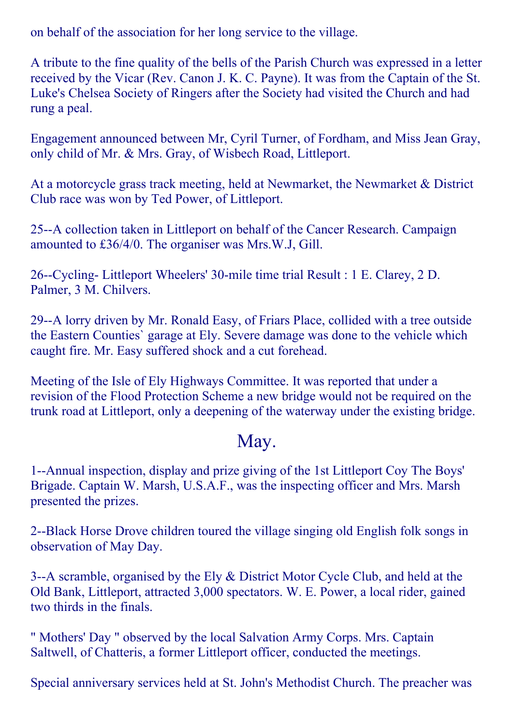on behalf of the association for her long service to the village.

A tribute to the fine quality of the bells of the Parish Church was expressed in a letter received by the Vicar (Rev. Canon J. K. C. Payne). It was from the Captain of the St. Luke's Chelsea Society of Ringers after the Society had visited the Church and had rung a peal.

Engagement announced between Mr, Cyril Turner, of Fordham, and Miss Jean Gray, only child of Mr. & Mrs. Gray, of Wisbech Road, Littleport.

At a motorcycle grass track meeting, held at Newmarket, the Newmarket & District Club race was won by Ted Power, of Littleport.

25--A collection taken in Littleport on behalf of the Cancer Research. Campaign amounted to £36/4/0. The organiser was Mrs.W.J, Gill.

26--Cycling- Littleport Wheelers' 30-mile time trial Result : 1 E. Clarey, 2 D. Palmer, 3 M. Chilvers.

29--A lorry driven by Mr. Ronald Easy, of Friars Place, collided with a tree outside the Eastern Counties` garage at Ely. Severe damage was done to the vehicle which caught fire. Mr. Easy suffered shock and a cut forehead.

Meeting of the Isle of Ely Highways Committee. It was reported that under a revision of the Flood Protection Scheme a new bridge would not be required on the trunk road at Littleport, only a deepening of the waterway under the existing bridge.

### May.

1--Annual inspection, display and prize giving of the 1st Littleport Coy The Boys' Brigade. Captain W. Marsh, U.S.A.F., was the inspecting officer and Mrs. Marsh presented the prizes.

2--Black Horse Drove children toured the village singing old English folk songs in observation of May Day.

3--A scramble, organised by the Ely  $&$  District Motor Cycle Club, and held at the Old Bank, Littleport, attracted 3,000 spectators. W. E. Power, a local rider, gained two thirds in the finals.

" Mothers' Day " observed by the local Salvation Army Corps. Mrs. Captain Saltwell, of Chatteris, a former Littleport officer, conducted the meetings.

Special anniversary services held at St. John's Methodist Church. The preacher was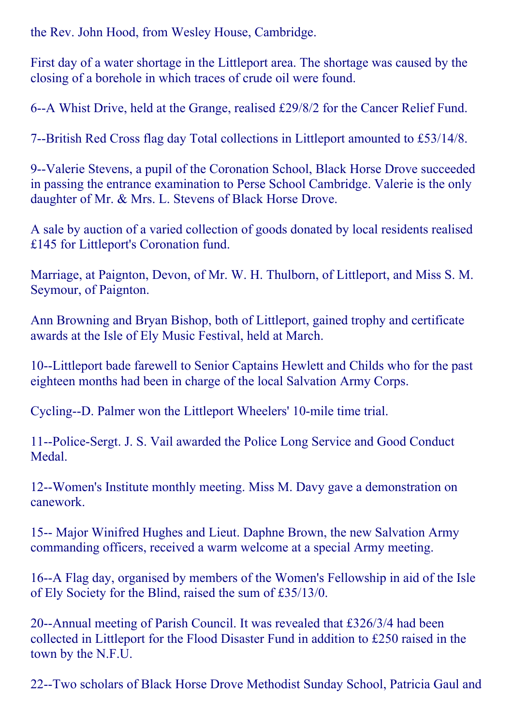the Rev. John Hood, from Wesley House, Cambridge.

First day of a water shortage in the Littleport area. The shortage was caused by the closing of a borehole in which traces of crude oil were found.

6--A Whist Drive, held at the Grange, realised £29/8/2 for the Cancer Relief Fund.

7--British Red Cross flag day Total collections in Littleport amounted to £53/14/8.

9--Valerie Stevens, a pupil of the Coronation School, Black Horse Drove succeeded in passing the entrance examination to Perse School Cambridge. Valerie is the only daughter of Mr. & Mrs. L. Stevens of Black Horse Drove.

A sale by auction of a varied collection of goods donated by local residents realised £145 for Littleport's Coronation fund.

Marriage, at Paignton, Devon, of Mr. W. H. Thulborn, of Littleport, and Miss S. M. Seymour, of Paignton.

Ann Browning and Bryan Bishop, both of Littleport, gained trophy and certificate awards at the Isle of Ely Music Festival, held at March.

10--Littleport bade farewell to Senior Captains Hewlett and Childs who for the past eighteen months had been in charge of the local Salvation Army Corps.

Cycling--D. Palmer won the Littleport Wheelers' 10-mile time trial.

11--Police-Sergt. J. S. Vail awarded the Police Long Service and Good Conduct Medal.

12--Women's Institute monthly meeting. Miss M. Davy gave a demonstration on canework.

15-- Major Winifred Hughes and Lieut. Daphne Brown, the new Salvation Army commanding officers, received a warm welcome at a special Army meeting.

16--A Flag day, organised by members of the Women's Fellowship in aid of the Isle of Ely Society for the Blind, raised the sum of £35/13/0.

20--Annual meeting of Parish Council. It was revealed that  $\text{\pounds}326/3/4$  had been collected in Littleport for the Flood Disaster Fund in addition to £250 raised in the town by the N.F.U.

22--Two scholars of Black Horse Drove Methodist Sunday School, Patricia Gaul and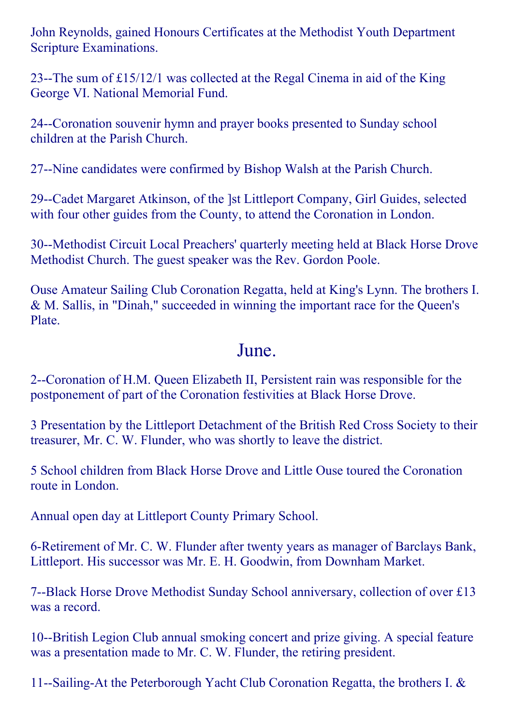John Reynolds, gained Honours Certificates at the Methodist Youth Department Scripture Examinations.

23--The sum of  $£15/12/1$  was collected at the Regal Cinema in aid of the King George VI. National Memorial Fund.

24--Coronation souvenir hymn and prayer books presented to Sunday school children at the Parish Church.

27--Nine candidates were confirmed by Bishop Walsh at the Parish Church.

29--Cadet Margaret Atkinson, of the 1st Littleport Company, Girl Guides, selected with four other guides from the County, to attend the Coronation in London.

30--Methodist Circuit Local Preachers' quarterly meeting held at Black Horse Drove Methodist Church. The guest speaker was the Rev. Gordon Poole.

Ouse Amateur Sailing Club Coronation Regatta, held at King's Lynn. The brothers I. & M. Sallis, in "Dinah," succeeded in winning the important race for the Queen's Plate.

#### June.

2--Coronation of H.M. Queen Elizabeth II, Persistent rain was responsible for the postponement of part of the Coronation festivities at Black Horse Drove.

3 Presentation by the Littleport Detachment of the British Red Cross Society to their treasurer, Mr. C. W. Flunder, who was shortly to leave the district.

5 School children from Black Horse Drove and Little Ouse toured the Coronation route in London.

Annual open day at Littleport County Primary School.

6-Retirement of Mr. C. W. Flunder after twenty years as manager of Barclays Bank, Littleport. His successor was Mr. E. H. Goodwin, from Downham Market.

7--Black Horse Drove Methodist Sunday School anniversary, collection of over £13 was a record.

10--British Legion Club annual smoking concert and prize giving. A special feature was a presentation made to Mr. C. W. Flunder, the retiring president.

11--Sailing-At the Peterborough Yacht Club Coronation Regatta, the brothers I.  $&$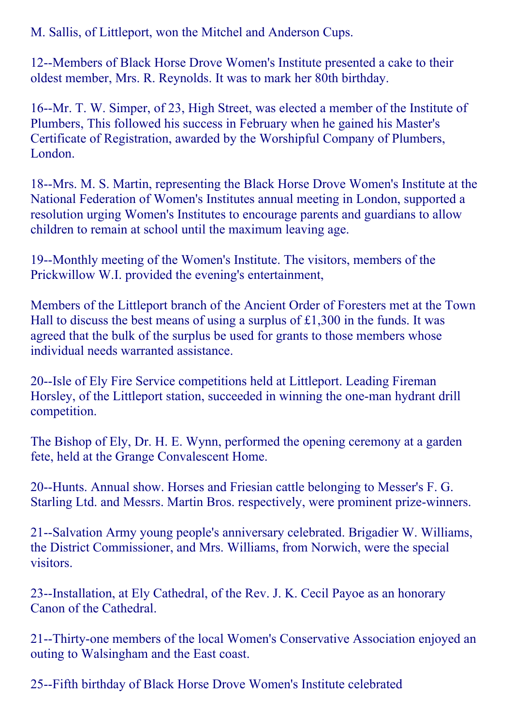M. Sallis, of Littleport, won the Mitchel and Anderson Cups.

12--Members of Black Horse Drove Women's Institute presented a cake to their oldest member, Mrs. R. Reynolds. It was to mark her 80th birthday.

16--Mr. T. W. Simper, of 23, High Street, was elected a member of the Institute of Plumbers, This followed his success in February when he gained his Master's Certificate of Registration, awarded by the Worshipful Company of Plumbers, London.

18--Mrs. M. S. Martin, representing the Black Horse Drove Women's Institute at the National Federation of Women's Institutes annual meeting in London, supported a resolution urging Women's Institutes to encourage parents and guardians to allow children to remain at school until the maximum leaving age.

19--Monthly meeting of the Women's Institute. The visitors, members of the Prickwillow W.I. provided the evening's entertainment,

Members of the Littleport branch of the Ancient Order of Foresters met at the Town Hall to discuss the best means of using a surplus of £1,300 in the funds. It was agreed that the bulk of the surplus be used for grants to those members whose individual needs warranted assistance.

20--Isle of Ely Fire Service competitions held at Littleport. Leading Fireman Horsley, of the Littleport station, succeeded in winning the one-man hydrant drill competition.

The Bishop of Ely, Dr. H. E. Wynn, performed the opening ceremony at a garden fete, held at the Grange Convalescent Home.

20--Hunts. Annual show. Horses and Friesian cattle belonging to Messer's F. G. Starling Ltd. and Messrs. Martin Bros. respectively, were prominent prize-winners.

21--Salvation Army young people's anniversary celebrated. Brigadier W. Williams, the District Commissioner, and Mrs. Williams, from Norwich, were the special visitors.

23--Installation, at Ely Cathedral, of the Rev. J. K. Cecil Payoe as an honorary Canon of the Cathedral.

21--Thirty-one members of the local Women's Conservative Association enjoyed an outing to Walsingham and the East coast.

25-Fifth birthday of Black Horse Drove Women's Institute celebrated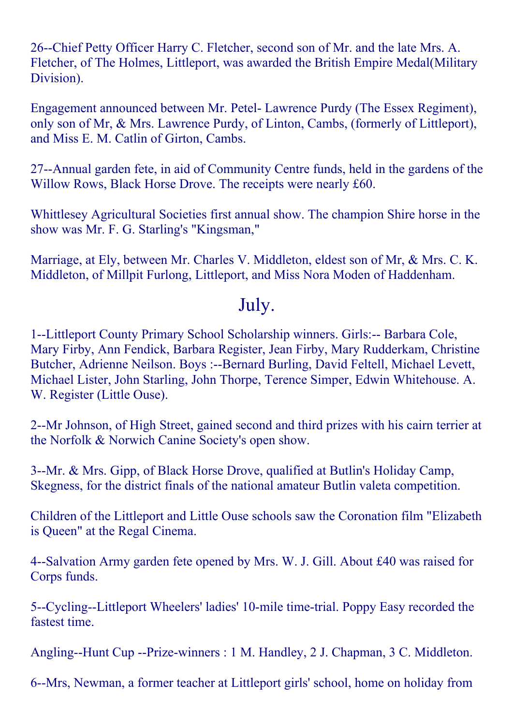26--Chief Petty Officer Harry C. Fletcher, second son of Mr. and the late Mrs. A. Fletcher, of The Holmes, Littleport, was awarded the British Empire Medal(Military Division).

Engagement announced between Mr. Petel- Lawrence Purdy (The Essex Regiment), only son of Mr, & Mrs. Lawrence Purdy, of Linton, Cambs, (formerly of Littleport), and Miss E. M. Catlin of Girton, Cambs.

27--Annual garden fete, in aid of Community Centre funds, held in the gardens of the Willow Rows, Black Horse Drove. The receipts were nearly £60.

Whittlesey Agricultural Societies first annual show. The champion Shire horse in the show was Mr. F. G. Starling's "Kingsman,"

Marriage, at Ely, between Mr. Charles V. Middleton, eldest son of Mr, & Mrs. C. K. Middleton, of Millpit Furlong, Littleport, and Miss Nora Moden of Haddenham.

#### July.

1--Littleport County Primary School Scholarship winners. Girls:-- Barbara Cole, Mary Firby, Ann Fendick, Barbara Register, Jean Firby, Mary Rudderkam, Christine Butcher, Adrienne Neilson. Boys :--Bernard Burling, David Feltell, Michael Levett, Michael Lister, John Starling, John Thorpe, Terence Simper, Edwin Whitehouse. A. W. Register (Little Ouse).

2--Mr Johnson, of High Street, gained second and third prizes with his cairn terrier at the Norfolk & Norwich Canine Society's open show.

3--Mr. & Mrs. Gipp, of Black Horse Drove, qualified at Butlin's Holiday Camp, Skegness, for the district finals of the national amateur Butlin valeta competition.

Children of the Littleport and Little Ouse schools saw the Coronation film "Elizabeth is Queen" at the Regal Cinema.

4--Salvation Army garden fete opened by Mrs. W. J. Gill. About £40 was raised for Corps funds.

5--Cycling--Littleport Wheelers' ladies' 10-mile time-trial. Poppy Easy recorded the fastest time.

Angling--Hunt Cup --Prize-winners : 1 M. Handley, 2 J. Chapman, 3 C. Middleton.

6--Mrs, Newman, a former teacher at Littleport girls' school, home on holiday from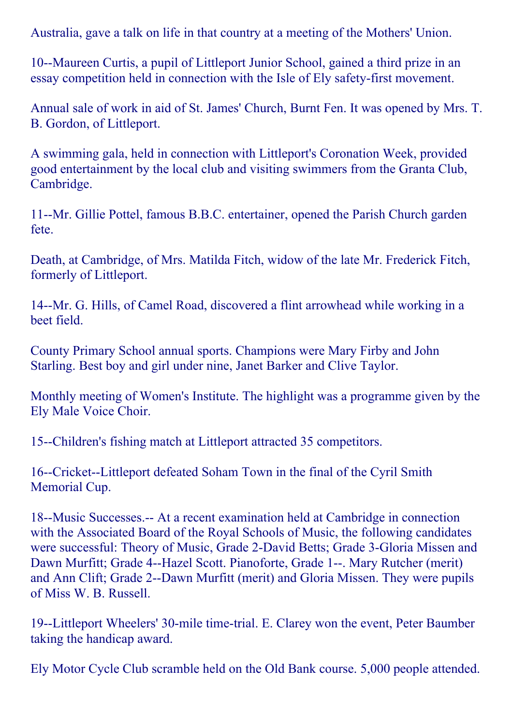Australia, gave a talk on life in that country at a meeting of the Mothers' Union.

10--Maureen Curtis, a pupil of Littleport Junior School, gained a third prize in an essay competition held in connection with the Isle of Ely safety-first movement.

Annual sale of work in aid of St. James' Church, Burnt Fen. It was opened by Mrs. T. B. Gordon, of Littleport.

A swimming gala, held in connection with Littleport's Coronation Week, provided good entertainment by the local club and visiting swimmers from the Granta Club, Cambridge.

11--Mr. Gillie Pottel, famous B.B.C. entertainer, opened the Parish Church garden fete.

Death, at Cambridge, of Mrs. Matilda Fitch, widow of the late Mr. Frederick Fitch, formerly of Littleport.

14--Mr. G. Hills, of Camel Road, discovered a flint arrowhead while working in a beet field.

County Primary School annual sports. Champions were Mary Firby and John Starling. Best boy and girl under nine, Janet Barker and Clive Taylor.

Monthly meeting of Women's Institute. The highlight was a programme given by the Ely Male Voice Choir.

15--Children's fishing match at Littleport attracted 35 competitors.

16--Cricket--Littleport defeated Soham Town in the final of the Cyril Smith Memorial Cup.

18--Music Successes.-- At a recent examination held at Cambridge in connection with the Associated Board of the Royal Schools of Music, the following candidates were successful: Theory of Music, Grade 2-David Betts; Grade 3-Gloria Missen and Dawn Murfitt; Grade 4--Hazel Scott. Pianoforte, Grade 1--. Mary Rutcher (merit) and Ann Clift; Grade 2--Dawn Murfitt (merit) and Gloria Missen. They were pupils of Miss W. B. Russell.

19--Littleport Wheelers' 30-mile time-trial. E. Clarey won the event, Peter Baumber taking the handicap award.

Ely Motor Cycle Club scramble held on the Old Bank course. 5,000 people attended.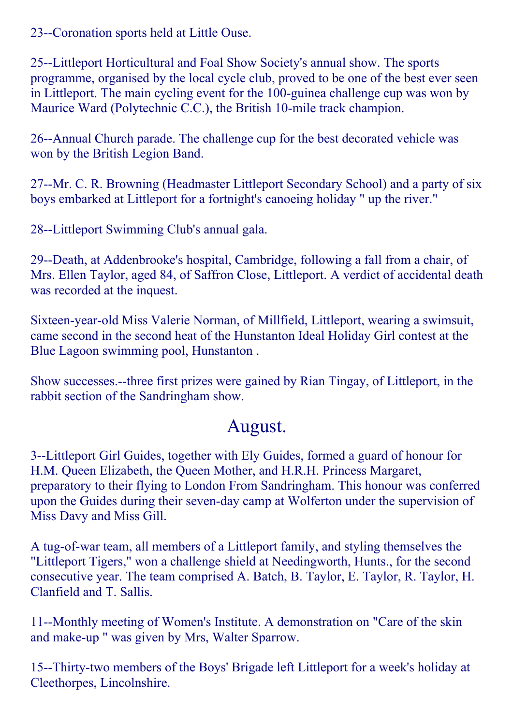23--Coronation sports held at Little Ouse.

25--Littleport Horticultural and Foal Show Society's annual show. The sports programme, organised by the local cycle club, proved to be one of the best ever seen in Littleport. The main cycling event for the 100-guinea challenge cup was won by Maurice Ward (Polytechnic C.C.), the British 10-mile track champion.

26--Annual Church parade. The challenge cup for the best decorated vehicle was won by the British Legion Band.

27--Mr. C. R. Browning (Headmaster Littleport Secondary School) and a party of six boys embarked at Littleport for a fortnight's canoeing holiday " up the river."

28--Littleport Swimming Club's annual gala.

29--Death, at Addenbrooke's hospital, Cambridge, following a fall from a chair, of Mrs. Ellen Taylor, aged 84, of Saffron Close, Littleport. A verdict of accidental death was recorded at the inquest.

Sixteen-year-old Miss Valerie Norman, of Millfield, Littleport, wearing a swimsuit, came second in the second heat of the Hunstanton Ideal Holiday Girl contest at the Blue Lagoon swimming pool, Hunstanton .

Show successes.--three first prizes were gained by Rian Tingay, of Littleport, in the rabbit section of the Sandringham show.

### August.

3--Littleport Girl Guides, together with Ely Guides, formed a guard of honour for H.M. Queen Elizabeth, the Queen Mother, and H.R.H. Princess Margaret, preparatory to their flying to London From Sandringham. This honour was conferred upon the Guides during their seven-day camp at Wolferton under the supervision of Miss Davy and Miss Gill.

A tug-of-war team, all members of a Littleport family, and styling themselves the "Littleport Tigers," won a challenge shield at Needingworth, Hunts., for the second consecutive year. The team comprised A. Batch, B. Taylor, E. Taylor, R. Taylor, H. Clanfield and T. Sallis.

11--Monthly meeting of Women's Institute. A demonstration on "Care of the skin and make-up " was given by Mrs, Walter Sparrow.

15--Thirty-two members of the Boys' Brigade left Littleport for a week's holiday at Cleethorpes, Lincolnshire.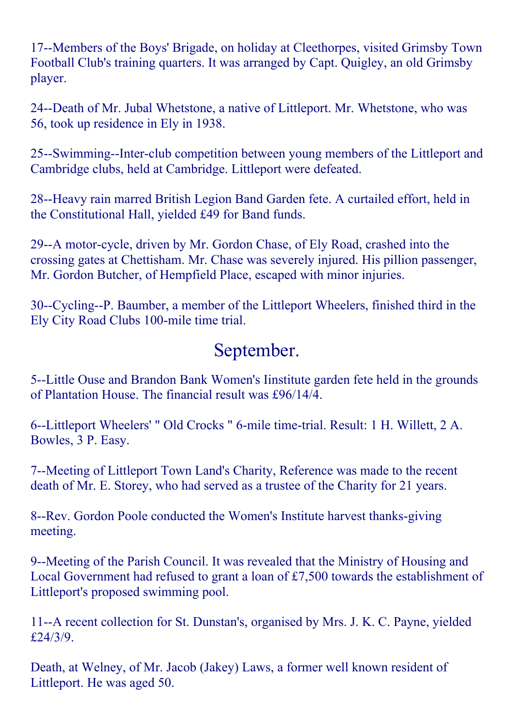17--Members of the Boys' Brigade, on holiday at Cleethorpes, visited Grimsby Town Football Club's training quarters. It was arranged by Capt. Quigley, an old Grimsby player.

24--Death of Mr. Jubal Whetstone, a native of Littleport. Mr. Whetstone, who was 56, took up residence in Ely in 1938.

25-Swimming-Inter-club competition between young members of the Littleport and Cambridge clubs, held at Cambridge. Littleport were defeated.

28--Heavy rain marred British Legion Band Garden fete. A curtailed effort, held in the Constitutional Hall, yielded £49 for Band funds.

29--A motor-cycle, driven by Mr. Gordon Chase, of Ely Road, crashed into the crossing gates at Chettisham. Mr. Chase was severely injured. His pillion passenger, Mr. Gordon Butcher, of Hempfield Place, escaped with minor injuries.

30--Cycling--P. Baumber, a member of the Littleport Wheelers, finished third in the Ely City Road Clubs 100-mile time trial.

## September.

5--Little Ouse and Brandon Bank Women's Iinstitute garden fete held in the grounds of Plantation House. The financial result was £96/14/4.

6--Littleport Wheelers' " Old Crocks " 6-mile time-trial. Result: 1 H. Willett, 2 A. Bowles, 3 P. Easy.

7--Meeting of Littleport Town Land's Charity, Reference was made to the recent death of Mr. E. Storey, who had served as a trustee of the Charity for 21 years.

8--Rev. Gordon Poole conducted the Women's Institute harvest thanks-giving meeting.

9--Meeting of the Parish Council. It was revealed that the Ministry of Housing and Local Government had refused to grant a loan of £7,500 towards the establishment of Littleport's proposed swimming pool.

11--A recent collection for St. Dunstan's, organised by Mrs. J. K. C. Payne, yielded £24/3/9.

Death, at Welney, of Mr. Jacob (Jakey) Laws, a former well known resident of Littleport. He was aged 50.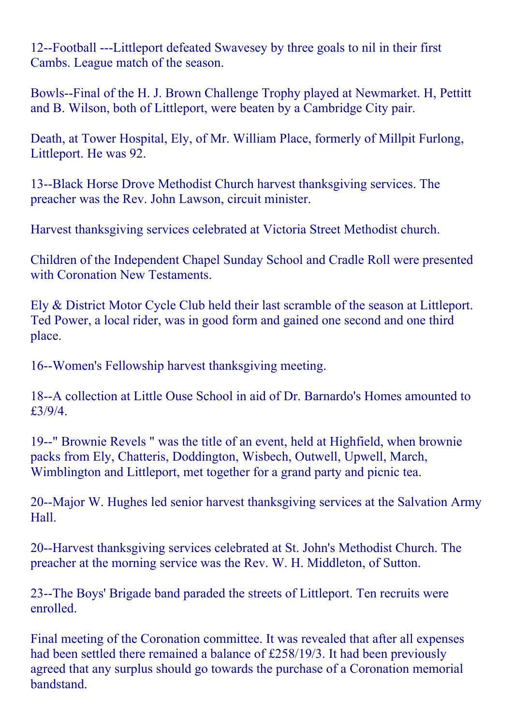12--Football ---Littleport defeated Swavesey by three goals to nil in their first Cambs. League match of the season.

Bowls--Final of the H. J. Brown Challenge Trophy played at Newmarket. H, Pettitt and B. Wilson, both of Littleport, were beaten by a Cambridge City pair.

Death, at Tower Hospital, Ely, of Mr. William Place, formerly of Millpit Furlong, Littleport. He was 92.

13--Black Horse Drove Methodist Church harvest thanksgiving services. The preacher was the Rev. John Lawson, circuit minister.

Harvest thanksgiving services celebrated at Victoria Street Methodist church.

Children of the Independent Chapel Sunday School and Cradle Roll were presented with Coronation New Testaments.

Ely & District Motor Cycle Club held their last scramble of the season at Littleport. Ted Power, a local rider, was in good form and gained one second and one third place.

16--Women's Fellowship harvest thanksgiving meeting.

18--A collection at Little Ouse School in aid of Dr. Barnardo's Homes amounted to £3/9/4.

19--" Brownie Revels " was the title of an event, held at Highfield, when brownie packs from Ely, Chatteris, Doddington, Wisbech, Outwell, Upwell, March, Wimblington and Littleport, met together for a grand party and picnic tea.

20--Major W. Hughes led senior harvest thanksgiving services at the Salvation Army Hall.

20--Harvest thanksgiving services celebrated at St. John's Methodist Church. The preacher at the morning service was the Rev. W. H. Middleton, of Sutton.

23--The Boys' Brigade band paraded the streets of Littleport. Ten recruits were enrolled.

Final meeting of the Coronation committee. It was revealed that after all expenses had been settled there remained a balance of £258/19/3. It had been previously agreed that any surplus should go towards the purchase of a Coronation memorial **bandstand**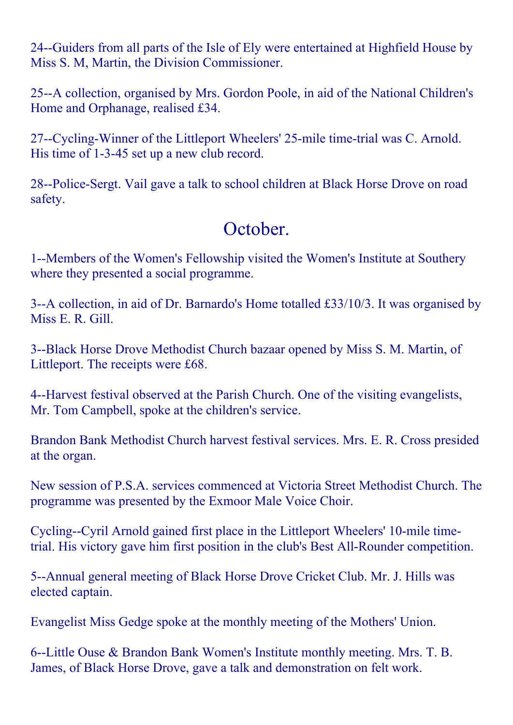24--Guiders from all parts of the Isle of Ely were entertained at Highfield House by Miss S. M, Martin, the Division Commissioner.

25--A collection, organised by Mrs. Gordon Poole, in aid of the National Children's Home and Orphanage, realised £34.

27--Cycling-Winner of the Littleport Wheelers' 25-mile time-trial was C. Arnold. His time of 1-3-45 set up a new club record.

28--Police-Sergt. Vail gave a talk to school children at Black Horse Drove on road safety.

# October.

1--Members of the Women's Fellowship visited the Women's Institute at Southery where they presented a social programme.

3--A collection, in aid of Dr. Barnardo's Home totalled £33/10/3. It was organised by Miss E. R. Gill.

3--Black Horse Drove Methodist Church bazaar opened by Miss S. M. Martin, of Littleport. The receipts were £68.

4--Harvest festival observed at the Parish Church. One of the visiting evangelists, Mr. Tom Campbell, spoke at the children's service.

Brandon Bank Methodist Church harvest festival services. Mrs. E. R. Cross presided at the organ.

New session of P.S.A. services commenced at Victoria Street Methodist Church. The programme was presented by the Exmoor Male Voice Choir.

Cycling--Cyril Arnold gained first place in the Littleport Wheelers' 10-mile timetrial. His victory gave him first position in the club's Best All-Rounder competition.

5--Annual general meeting of Black Horse Drove Cricket Club. Mr. J. Hills was elected captain.

Evangelist Miss Gedge spoke at the monthly meeting of the Mothers' Union.

6--Little Ouse & Brandon Bank Women's Institute monthly meeting. Mrs. T. B. James, of Black Horse Drove, gave a talk and demonstration on felt work.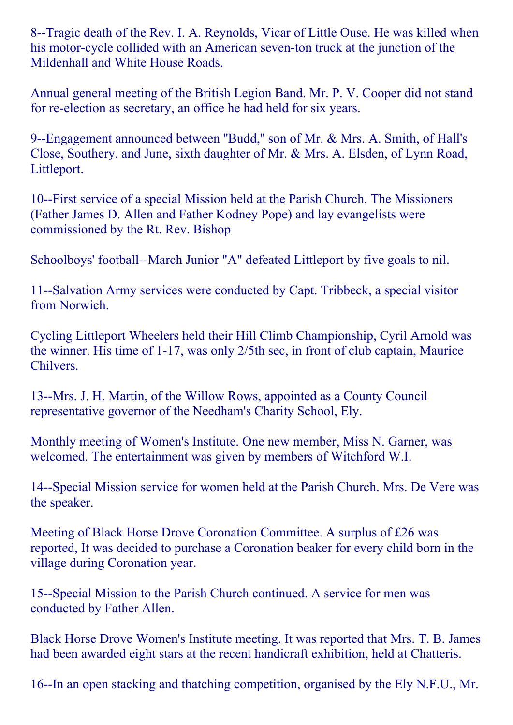8--Tragic death of the Rev. I. A. Reynolds, Vicar of Little Ouse. He was killed when his motor-cycle collided with an American seven-ton truck at the junction of the Mildenhall and White House Roads.

Annual general meeting of the British Legion Band. Mr. P. V. Cooper did not stand for re-election as secretary, an office he had held for six years.

9Engagement announced between ''Budd,'' son of Mr. & Mrs. A. Smith, of Hall's Close, Southery. and June, sixth daughter of Mr. & Mrs. A. Elsden, of Lynn Road, Littleport.

10-First service of a special Mission held at the Parish Church. The Missioners (Father James D. Allen and Father Kodney Pope) and lay evangelists were commissioned by the Rt. Rev. Bishop

Schoolboys' football--March Junior "A" defeated Littleport by five goals to nil.

11--Salvation Army services were conducted by Capt. Tribbeck, a special visitor from Norwich.

Cycling Littleport Wheelers held their Hill Climb Championship, Cyril Arnold was the winner. His time of  $1-17$ , was only  $2/5$ th sec, in front of club captain, Maurice Chilvers.

13--Mrs. J. H. Martin, of the Willow Rows, appointed as a County Council representative governor of the Needham's Charity School, Ely.

Monthly meeting of Women's Institute. One new member, Miss N. Garner, was welcomed. The entertainment was given by members of Witchford W.I.

14--Special Mission service for women held at the Parish Church. Mrs. De Vere was the speaker.

Meeting of Black Horse Drove Coronation Committee. A surplus of £26 was reported, It was decided to purchase a Coronation beaker for every child born in the village during Coronation year.

15--Special Mission to the Parish Church continued. A service for men was conducted by Father Allen.

Black Horse Drove Women's Institute meeting. It was reported that Mrs. T. B. James had been awarded eight stars at the recent handicraft exhibition, held at Chatteris.

16--In an open stacking and thatching competition, organised by the Ely N.F.U., Mr.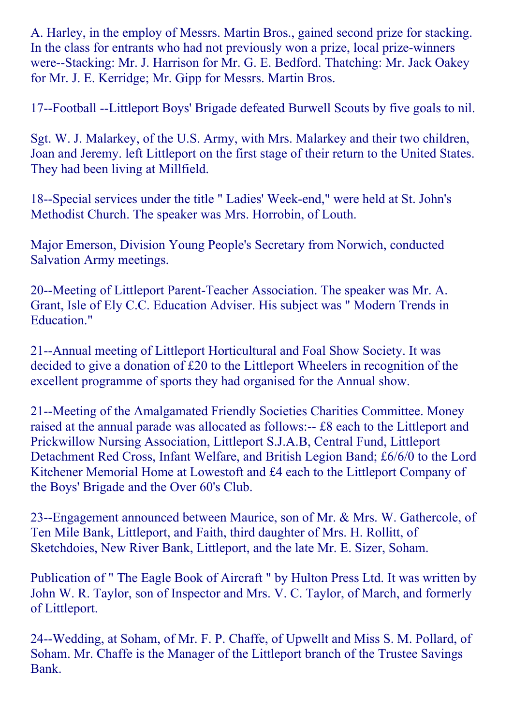A. Harley, in the employ of Messrs. Martin Bros., gained second prize for stacking. In the class for entrants who had not previously won a prize, local prize-winners were--Stacking: Mr. J. Harrison for Mr. G. E. Bedford. Thatching: Mr. Jack Oakey for Mr. J. E. Kerridge; Mr. Gipp for Messrs. Martin Bros.

17--Football --Littleport Boys' Brigade defeated Burwell Scouts by five goals to nil.

Sgt. W. J. Malarkey, of the U.S. Army, with Mrs. Malarkey and their two children, Joan and Jeremy. left Littleport on the first stage of their return to the United States. They had been living at Millfield.

18--Special services under the title " Ladies' Week-end," were held at St. John's Methodist Church. The speaker was Mrs. Horrobin, of Louth.

Major Emerson, Division Young People's Secretary from Norwich, conducted Salvation Army meetings.

20--Meeting of Littleport Parent-Teacher Association. The speaker was Mr. A. Grant, Isle of Ely C.C. Education Adviser. His subject was " Modern Trends in Education."

21--Annual meeting of Littleport Horticultural and Foal Show Society. It was decided to give a donation of £20 to the Littleport Wheelers in recognition of the excellent programme of sports they had organised for the Annual show.

21--Meeting of the Amalgamated Friendly Societies Charities Committee. Money raised at the annual parade was allocated as follows:-- £8 each to the Littleport and Prickwillow Nursing Association, Littleport S.J.A.B, Central Fund, Littleport Detachment Red Cross, Infant Welfare, and British Legion Band; £6/6/0 to the Lord Kitchener Memorial Home at Lowestoft and £4 each to the Littleport Company of the Boys' Brigade and the Over 60's Club.

23--Engagement announced between Maurice, son of Mr. & Mrs. W. Gathercole, of Ten Mile Bank, Littleport, and Faith, third daughter of Mrs. H. Rollitt, of Sketchdoies, New River Bank, Littleport, and the late Mr. E. Sizer, Soham.

Publication of " The Eagle Book of Aircraft " by Hulton Press Ltd. It was written by John W. R. Taylor, son of Inspector and Mrs. V. C. Taylor, of March, and formerly of Littleport.

24--Wedding, at Soham, of Mr. F. P. Chaffe, of Upwellt and Miss S. M. Pollard, of Soham. Mr. Chaffe is the Manager of the Littleport branch of the Trustee Savings Bank.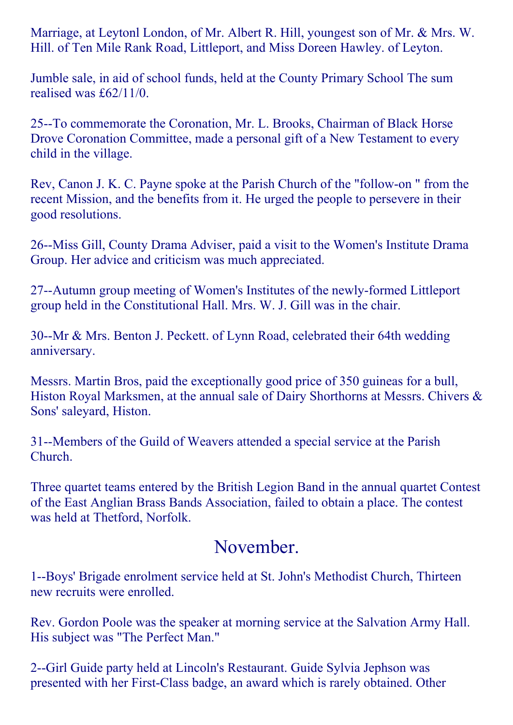Marriage, at Leytonl London, of Mr. Albert R. Hill, youngest son of Mr. & Mrs. W. Hill. of Ten Mile Rank Road, Littleport, and Miss Doreen Hawley. of Leyton.

Jumble sale, in aid of school funds, held at the County Primary School The sum realised was £62/11/0.

25--To commemorate the Coronation, Mr. L. Brooks, Chairman of Black Horse Drove Coronation Committee, made a personal gift of a New Testament to every child in the village.

Rev, Canon J. K. C. Payne spoke at the Parish Church of the "follow-on" from the recent Mission, and the benefits from it. He urged the people to persevere in their good resolutions.

26--Miss Gill, County Drama Adviser, paid a visit to the Women's Institute Drama Group. Her advice and criticism was much appreciated.

27--Autumn group meeting of Women's Institutes of the newly-formed Littleport group held in the Constitutional Hall. Mrs. W. J. Gill was in the chair.

30--Mr & Mrs. Benton J. Peckett. of Lynn Road, celebrated their 64th wedding anniversary.

Messrs. Martin Bros, paid the exceptionally good price of 350 guineas for a bull, Histon Royal Marksmen, at the annual sale of Dairy Shorthorns at Messrs. Chivers & Sons' saleyard, Histon.

31--Members of the Guild of Weavers attended a special service at the Parish Church.

Three quartet teams entered by the British Legion Band in the annual quartet Contest of the East Anglian Brass Bands Association, failed to obtain a place. The contest was held at Thetford, Norfolk.

### November.

1--Boys' Brigade enrolment service held at St. John's Methodist Church, Thirteen new recruits were enrolled.

Rev. Gordon Poole was the speaker at morning service at the Salvation Army Hall. His subject was "The Perfect Man."

2--Girl Guide party held at Lincoln's Restaurant. Guide Sylvia Jephson was presented with her First-Class badge, an award which is rarely obtained. Other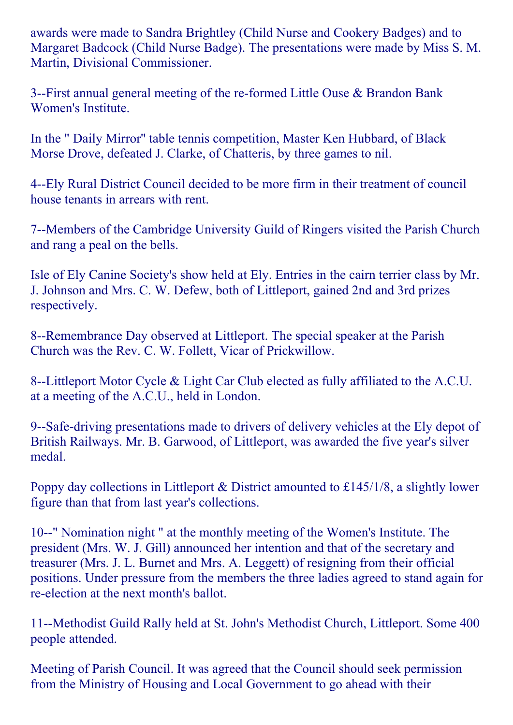awards were made to Sandra Brightley (Child Nurse and Cookery Badges) and to Margaret Badcock (Child Nurse Badge). The presentations were made by Miss S. M. Martin, Divisional Commissioner.

3--First annual general meeting of the re-formed Little Ouse  $\&$  Brandon Bank Women's Institute.

In the " Daily Mirror'' table tennis competition, Master Ken Hubbard, of Black Morse Drove, defeated J. Clarke, of Chatteris, by three games to nil.

4Ely Rural District Council decided to be more firm in their treatment of council house tenants in arrears with rent.

7--Members of the Cambridge University Guild of Ringers visited the Parish Church and rang a peal on the bells.

Isle of Ely Canine Society's show held at Ely. Entries in the cairn terrier class by Mr. J. Johnson and Mrs. C. W. Defew, both of Littleport, gained 2nd and 3rd prizes respectively.

8--Remembrance Day observed at Littleport. The special speaker at the Parish Church was the Rev. C. W. Follett, Vicar of Prickwillow.

8--Littleport Motor Cycle & Light Car Club elected as fully affiliated to the A.C.U. at a meeting of the A.C.U., held in London.

9--Safe-driving presentations made to drivers of delivery vehicles at the Ely depot of British Railways. Mr. B. Garwood, of Littleport, was awarded the five year's silver medal.

Poppy day collections in Littleport & District amounted to £145/1/8, a slightly lower figure than that from last year's collections.

10--" Nomination night " at the monthly meeting of the Women's Institute. The president (Mrs. W. J. Gill) announced her intention and that of the secretary and treasurer (Mrs. J. L. Burnet and Mrs. A. Leggett) of resigning from their official positions. Under pressure from the members the three ladies agreed to stand again for re-election at the next month's ballot.

11--Methodist Guild Rally held at St. John's Methodist Church, Littleport. Some 400 people attended.

Meeting of Parish Council. It was agreed that the Council should seek permission from the Ministry of Housing and Local Government to go ahead with their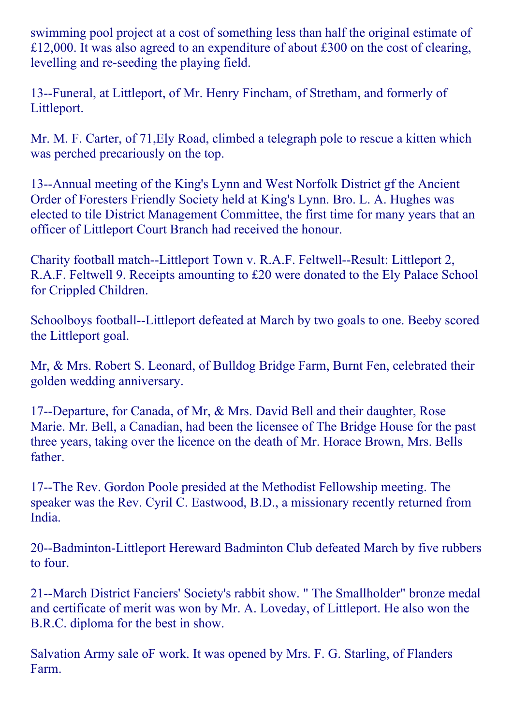swimming pool project at a cost of something less than half the original estimate of £12,000. It was also agreed to an expenditure of about £300 on the cost of clearing, levelling and reseeding the playing field.

13--Funeral, at Littleport, of Mr. Henry Fincham, of Stretham, and formerly of Littleport.

Mr. M. F. Carter, of 71,Ely Road, climbed a telegraph pole to rescue a kitten which was perched precariously on the top.

13--Annual meeting of the King's Lynn and West Norfolk District gf the Ancient Order of Foresters Friendly Society held at King's Lynn. Bro. L. A. Hughes was elected to tile District Management Committee, the first time for many years that an officer of Littleport Court Branch had received the honour.

Charity football match--Littleport Town v. R.A.F. Feltwell--Result: Littleport 2, R.A.F. Feltwell 9. Receipts amounting to £20 were donated to the Ely Palace School for Crippled Children.

Schoolboys football--Littleport defeated at March by two goals to one. Beeby scored the Littleport goal.

Mr, & Mrs. Robert S. Leonard, of Bulldog Bridge Farm, Burnt Fen, celebrated their golden wedding anniversary.

17--Departure, for Canada, of Mr, & Mrs. David Bell and their daughter, Rose Marie. Mr. Bell, a Canadian, had been the licensee of The Bridge House for the past three years, taking over the licence on the death of Mr. Horace Brown, Mrs. Bells father.

17--The Rev. Gordon Poole presided at the Methodist Fellowship meeting. The speaker was the Rev. Cyril C. Eastwood, B.D., a missionary recently returned from India.

20--Badminton-Littleport Hereward Badminton Club defeated March by five rubbers to four.

21--March District Fanciers' Society's rabbit show. " The Smallholder" bronze medal and certificate of merit was won by Mr. A. Loveday, of Littleport. He also won the B.R.C. diploma for the best in show.

Salvation Army sale oF work. It was opened by Mrs. F. G. Starling, of Flanders Farm.